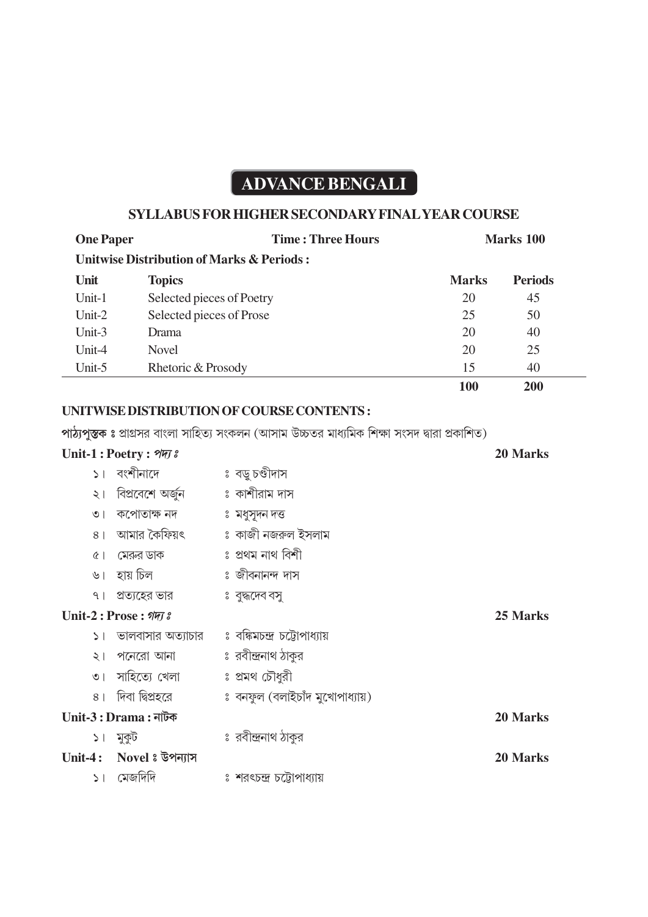# **ADVANCE BENGALI**

## **SYLLABUS FOR HIGHER SECONDARY FINAL YEAR COURSE**

| <b>One Paper</b>        |                                        | <b>Time: Three Hours</b>                                                                       |              | <b>Marks 100</b> |  |
|-------------------------|----------------------------------------|------------------------------------------------------------------------------------------------|--------------|------------------|--|
|                         |                                        | <b>Unitwise Distribution of Marks &amp; Periods:</b>                                           |              |                  |  |
| Unit                    | <b>Topics</b>                          |                                                                                                | <b>Marks</b> | <b>Periods</b>   |  |
| Unit-1                  | Selected pieces of Poetry              |                                                                                                | 20           | 45               |  |
| Unit-2                  | Selected pieces of Prose               |                                                                                                | 25           | 50               |  |
| Unit-3                  | Drama                                  |                                                                                                | 20           | 40               |  |
| Unit-4                  | Novel                                  |                                                                                                | 20           | 25               |  |
| Unit-5                  | Rhetoric & Prosody                     |                                                                                                | 15           | 40               |  |
|                         |                                        |                                                                                                | 100          | 200              |  |
|                         |                                        | UNITWISE DISTRIBUTION OF COURSE CONTENTS :                                                     |              |                  |  |
|                         |                                        | পাঠ্যপুস্তক ঃ প্রাগ্রসর বাংলা সাহিত্য সংকলন (আসাম উচ্চতর মাধ্যমিক শিক্ষা সংসদ দ্বারা প্রকাশিত) |              |                  |  |
| Unit-1: Poetry: श्रमा : |                                        |                                                                                                |              | 20 Marks         |  |
|                         | ১। বংশীনাদে                            | ঃ বড়ু চণ্ডীদাস                                                                                |              |                  |  |
| $\geq 1$                | বিপ্ৰবেশে অৰ্জুন         ঃ কাশীরাম দাস |                                                                                                |              |                  |  |
| $\circ$                 | কপোতাক্ষ নদ           ঃ মধুসূদন দত্ত   |                                                                                                |              |                  |  |
| 8 <sup>1</sup>          |                                        | আমার কৈফিয়ৎ বিজে ও কাজী নজরুল ইসলাম                                                           |              |                  |  |
| $\alpha$                | মেরুর ডাক                              | ঃ প্ৰথম নাথ বিশী                                                                               |              |                  |  |
| ৬।                      | হায় চিল                               | ঃ জীবনানন্দ দাস                                                                                |              |                  |  |
| 9 <sub>1</sub>          | প্রত্যহের ভার                          | ঃ বুদ্ধদেব বসু                                                                                 |              |                  |  |
| Unit-2: Prose: शमा :    |                                        |                                                                                                |              | 25 Marks         |  |
| $\geq$                  |                                        | ভালবাসার অত্যাচার   ঃ বঙ্কিমচন্দ্র চট্টোপাধ্যায়                                               |              |                  |  |
| $\geq 1$                | পনেরো আনা                              | ঃ রবীন্দ্রনাথ ঠাকুর                                                                            |              |                  |  |
| $\circ$                 | সাহিত্যে খেলা                          | ঃ প্ৰমথ চৌধুরী                                                                                 |              |                  |  |
| 8 <sup>1</sup>          | দিবা দ্বিপ্ৰহরে                        | ঃ বনফুল (বলাইচাঁদ মুখোপাধ্যায়)                                                                |              |                  |  |
| $Unit-3: Drama:$ নাটক   |                                        |                                                                                                | 20 Marks     |                  |  |
| ১। মুকুট                |                                        | ঃ রবীন্দ্রনাথ ঠাকুর                                                                            |              |                  |  |
| Unit-4:                 | Novel : উপন্যাস                        |                                                                                                |              | 20 Marks         |  |
| $\geq$ 1                | মেজদিদি                                | ঃ শরৎচন্দ্র চট্টোপাধ্যায়                                                                      |              |                  |  |